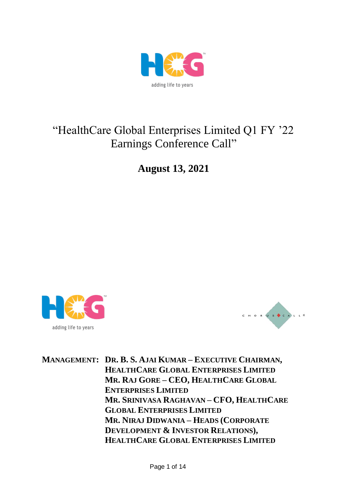

# "HealthCare Global Enterprises Limited Q1 FY '22 Earnings Conference Call"

**August 13, 2021**





**MANAGEMENT: DR. B. S. AJAI KUMAR – EXECUTIVE CHAIRMAN, HEALTHCARE GLOBAL ENTERPRISES LIMITED MR. RAJ GORE – CEO, HEALTHCARE GLOBAL ENTERPRISES LIMITED MR. SRINIVASA RAGHAVAN – CFO, HEALTHCARE GLOBAL ENTERPRISES LIMITED MR. NIRAJ DIDWANIA – HEADS (CORPORATE DEVELOPMENT & INVESTOR RELATIONS), HEALTHCARE GLOBAL ENTERPRISES LIMITED**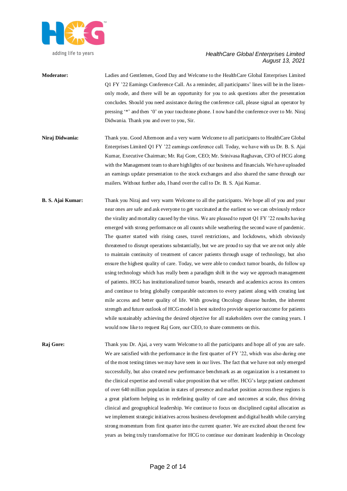

- **Moderator:** Ladies and Gentlemen, Good Day and Welcome to the HealthCare Global Enterprises Limited Q1 FY '22 Earnings Conference Call. As a reminder, all participants' lines will be in the listenonly mode, and there will be an opportunity for you to ask questions after the presentation concludes. Should you need assistance during the conference call, please signal an operator by pressing '\*' and then '0' on your touchtone phone. I now hand the conference over to Mr. Niraj Didwania. Thank you and over to you, Sir.
- **Niraj Didwania:** Thank you. Good Afternoon and a very warm Welcome to all participants to HealthCare Global Enterprises Limited Q1 FY '22 earnings conference call. Today, we have with us Dr. B. S. Ajai Kumar, Executive Chairman; Mr. Raj Gore, CEO; Mr. Srinivasa Raghavan, CFO of HCG along with the Management team to share highlights of our business and financials. We have uploaded an earnings update presentation to the stock exchanges and also shared the same through our mailers. Without further ado, I hand over the call to Dr. B. S. Ajai Kumar.
- **B. S. Ajai Kumar:** Thank you Niraj and very warm Welcome to all the participants. We hope all of you and your near ones are safe and ask everyone to get vaccinated at the earliest so we can obviously reduce the virality and mortality caused by the virus. We are pleased to report Q1 FY '22 results having emerged with strong performance on all counts while weathering the second wave of pandemic. The quarter started with rising cases, travel restrictions, and lockdowns, which obviously threatened to disrupt operations substantially, but we are proud to say that we are not only able to maintain continuity of treatment of cancer patients through usage of technology, but also ensure the highest quality of care. Today, we were able to conduct tumor boards, do follow up using technology which has really been a paradigm shift in the way we approach management of patients. HCG has institutionalized tumor boards, research and academics across its centers and continue to bring globally comparable outcomes to every patient along with creating last mile access and better quality of life. With growing Oncology disease burden, the inherent strength and future outlook of HCG model is best suited to provide superior outcome for patients while sustainably achieving the desired objective for all stakeholders over the coming years. I would now like to request Raj Gore, our CEO, to share comments on this.

**Raj Gore:** Thank you Dr. Ajai, a very warm Welcome to all the participants and hope all of you are safe. We are satisfied with the performance in the first quarter of FY '22, which was also during one of the most testing times we may have seen in our lives. The fact that we have not only emerged successfully, but also created new performance benchmark as an organization is a testament to the clinical expertise and overall value proposition that we offer. HCG's large patient catchment of over 640 million population in states of presence and market position across these regions is a great platform helping us in redefining quality of care and outcomes at scale, thus driving clinical and geographical leadership. We continue to focus on disciplined capital allocation as we implement strategic initiatives across business development and digital health while carrying strong momentum from first quarter into the current quarter. We are excited about the next few years as being truly transformative for HCG to continue our dominant leadership in Oncology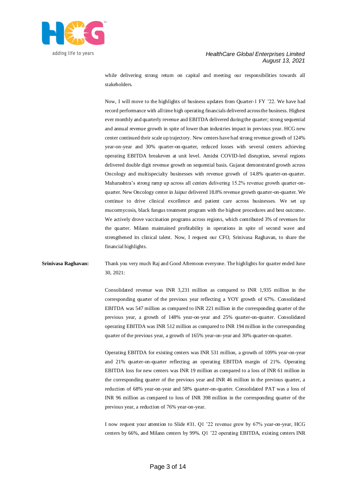

while delivering strong return on capital and meeting our responsibilities towards all stakeholders.

Now, I will move to the highlights of business updates from Quarter-1 FY '22. We have had record performance with all time high operating financials delivered across the business. Highest ever monthly and quarterly revenue and EBITDA delivered during the quarter; strong sequential and annual revenue growth in spite of lower than industries impact in previous year. HCG new center continued their scale up trajectory. New centers have had strong revenue growth of 124% year-on-year and 30% quarter-on-quarter, reduced losses with several centers achieving operating EBITDA breakeven at unit level. Amidst COVID-led disruption, several regions delivered double digit revenue growth on sequential basis. Gujarat demonstrated growth across Oncology and multispecialty businesses with revenue growth of 14.8% quarter-on-quarter. Maharashtra's strong ramp up across all centers delivering 15.2% revenue growth quarter-onquarter. New Oncology center in Jaipur delivered 18.8% revenue growth quarter-on-quarter. We continue to drive clinical excellence and patient care across businesses. We set up mucormycosis, black fungus treatment program with the highest procedures and best outcome. We actively drove vaccination programs across regions, which contributed 3% of revenues for the quarter. Milann maintained profitability in operations in spite of second wave and strengthened its clinical talent. Now, I request our CFO, Srinivasa Raghavan, to share the financial highlights.

# **Srinivasa Raghavan:** Thank you very much Raj and Good Afternoon everyone. The highlights for quarter ended June 30, 2021:

Consolidated revenue was INR 3,231 million as compared to INR 1,935 million in the corresponding quarter of the previous year reflecting a YOY growth of 67%. Consolidated EBITDA was 547 million as compared to INR 221 million in the corresponding quarter of the previous year, a growth of 148% year-on-year and 25% quarter-on-quarter. Consolidated operating EBITDA was INR 512 million as compared to INR 194 million in the corresponding quarter of the previous year, a growth of 165% year-on-year and 30% quarter-on-quarter.

Operating EBITDA for existing centers was INR 531 million, a growth of 109% year-on-year and 21% quarter-on-quarter reflecting an operating EBITDA margin of 21%. Operating EBITDA loss for new centers was INR 19 million as compared to a loss of INR 61 million in the corresponding quarter of the previous year and INR 46 million in the previous quarter, a reduction of 68% year-on-year and 58% quarter-on-quarter. Consolidated PAT was a loss of INR 96 million as compared to loss of INR 398 million in the corresponding quarter of the previous year, a reduction of 76% year-on-year.

I now request your attention to Slide #31. Q1 '22 revenue grew by 67% year-on-year, HCG centers by 66%, and Milann centers by 99%. Q1 '22 operating EBITDA, existing centers INR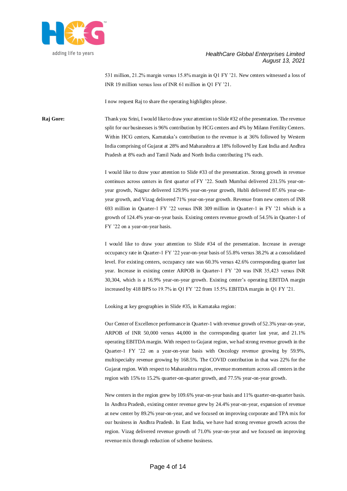

531 million, 21.2% margin versus 15.8% margin in Q1 FY '21. New centers witnessed a loss of INR 19 million versus loss of INR 61 million in Q1 FY '21.

I now request Raj to share the operating highlights please.

**Raj Gore:** Thank you Srini, I would like to draw your attention to Slide #32 of the presentation. The revenue split for our businesses is 96% contribution by HCG centers and 4% by Milann Fertility Centers. Within HCG centers, Karnataka's contribution to the revenue is at 36% followed by Western India comprising of Gujarat at 28% and Maharashtra at 18% followed by East India and Andhra Pradesh at 8% each and Tamil Nadu and North India contributing 1% each.

> I would like to draw your attention to Slide #33 of the presentation. Strong growth in revenue continues across centers in first quarter of FY '22. South Mumbai delivered 231.5% year-onyear growth, Nagpur delivered 129.9% year-on-year growth, Hubli delivered 87.6% year-onyear growth, and Vizag delivered 71% year-on-year growth. Revenue from new centers of INR 693 million in Quarter-1 FY '22 versus INR 309 million in Quarter-1 in FY '21 which is a growth of 124.4% year-on-year basis. Existing centers revenue growth of 54.5% in Quarter-1 of FY '22 on a year-on-year basis.

> I would like to draw your attention to Slide #34 of the presentation. Increase in average occupancy rate in Quarter-1 FY '22 year-on-year basis of 55.8% versus 38.2% at a consolidated level. For existing centers, occupancy rate was 60.3% versus 42.6% corresponding quarter last year. Increase in existing center ARPOB in Quarter-1 FY '20 was INR 35,423 versus INR 30,304, which is a 16.9% year-on-year growth. Existing center's operating EBITDA margin increased by 418 BPS to 19.7% in Q1 FY '22 from 15.5% EBITDA margin in Q1 FY '21.

Looking at key geographies in Slide #35, in Karnataka region:

Our Center of Excellence performance in Quarter-1 with revenue growth of 52.3% year-on-year, ARPOB of INR 50,000 versus 44,000 in the corresponding quarter last year, and 21.1% operating EBITDA margin. With respect to Gujarat region, we had strong revenue growth in the Quarter-1 FY '22 on a year-on-year basis with Oncology revenue growing by 59.9%, multispecialty revenue growing by 168.5%. The COVID contribution in that was 22% for the Gujarat region. With respect to Maharashtra region, revenue momentum across all centers in the region with 15% to 15.2% quarter-on-quarter growth, and 77.5% year-on-year growth.

New centers in the region grew by 109.6% year-on-year basis and 11% quarter-on-quarter basis. In Andhra Pradesh, existing center revenue grew by 24.4% year-on-year, expansion of revenue at new center by 89.2% year-on-year, and we focused on improving corporate and TPA mix for our business in Andhra Pradesh. In East India, we have had strong revenue growth across the region. Vizag delivered revenue growth of 71.0% year-on-year and we focused on improving revenue mix through reduction of scheme business.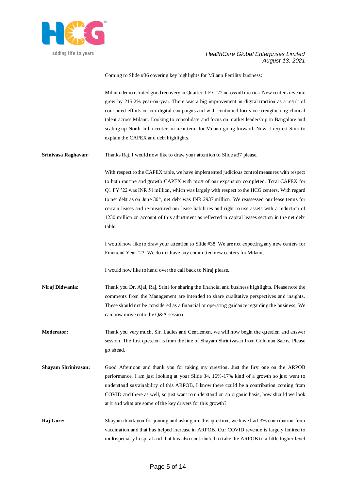

Coming to Slide #36 covering key highlights for Milann Fertility business:

Milann demonstrated good recovery in Quarter-1 FY '22 across all metrics. New centers revenue grew by 215.2% year-on-year. There was a big improvement in digital traction as a result of continued efforts on our digital campaigns and with continued focus on strengthening clinical talent across Milann. Looking to consolidate and focus on market leadership in Bangalore and scaling up North India centers in near term for Milann going forward. Now, I request Srini to explain the CAPEX and debt highlights.

**Srinivasa Raghavan:** Thanks Raj. I would now like to draw your attention to Slide #37 please.

With respect to the CAPEX table, we have implemented judicious control measures with respect to both routine and growth CAPEX with most of our expansion completed. Total CAPEX for Q1 FY '22 was INR 51 million, which was largely with respect to the HCG centers. With regard to net debt as on June 30<sup>th</sup>, net debt was INR 2937 million. We reassessed our lease terms for certain leases and re-measured our lease liabilities and right to use assets with a reduction of 1230 million on account of this adjustment as reflected in capital leases section in the net debt table.

I would now like to draw your attention to Slide #38. We are not expecting any new centers for Financial Year '22. We do not have any committed new centers for Milann.

I would now like to hand over the call back to Niraj please.

**Niraj Didwania:** Thank you Dr. Ajai, Raj, Srini for sharing the financial and business highlights. Please note the comments from the Management are intended to share qualitative perspectives and insights. These should not be considered as a financial or operating guidance regarding the business. We can now move onto the Q&A session.

**Moderator:** Thank you very much, Sir. Ladies and Gentlemen, we will now begin the question and answer session. The first question is from the line of Shayam Shrinivasan from Goldman Sachs. Please go ahead.

- **Shayam Shrinivasan:** Good Afternoon and thank you for taking my question. Just the first one on the ARPOB performance, I am just looking at your Slide 34, 16%-17% kind of a growth so just want to understand sustainability of this ARPOB, I know there could be a contribution coming from COVID and there as well, so just want to understand on an organic basis, how should we look at it and what are some of the key drivers for this growth?
- **Raj Gore:** Shayam thank you for joining and asking me this question, we have had 3% contribution from vaccination and that has helped increase in ARPOB. Our COVID revenue is largely limited to multispecialty hospital and that has also contributed to take the ARPOB to a little higher level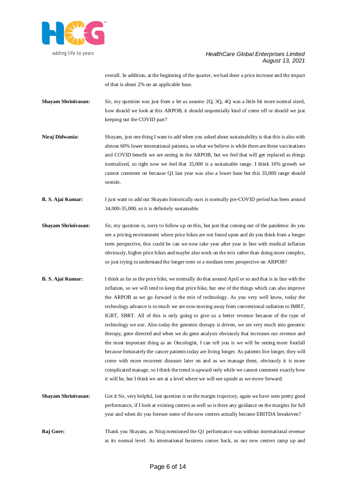

overall. In addition, at the beginning of the quarter, we had done a price increase and the impact of that is about 2% on an applicable base.

- **Shayam Shrinivasan:** Sir, my question was just from a let us assume 2Q, 3Q, 4Q was a little bit more normal sized, how should we look at this ARPOB, it should sequentially kind of come off or should we just keeping out the COVID part?
- **Niraj Didwania:** Shayam, just one thing I want to add when you asked about sustainability is that this is also with almost 60% lower international patients, so what we believe is while there are these vaccinations and COVID benefit we are seeing in the ARPOB, but we feel that will get replaced as things normalized, so right now we feel that 35,000 is a sustainable range. I think 16% growth we cannot comment on because Q1 last year was also a lower base but this 35,000 range should sustain.
- **B. S. Ajai Kumar:** I just want to add out Shayam historically ours is normally pre-COVID period has been around 34,000-35,000, so it is definitely sustainable.
- **Shayam Shrinivasan:** Sir, my question is, sorry to follow up on this, but just that coming out of the pandemic do you see a pricing environment where price hikes are not found upon and do you think from a longer term perspective, this could be can we now take year after year in line with medical inflation obviously, higher price hikes and maybe also work on the mix rather than doing more complex, so just trying to understand the longer term or a medium term perspective on ARPOB?
- **B. S. Ajai Kumar:** I think as far as the price hike, we normally do that around April or so and that is in line with the inflation, so we will tend to keep that price hike, but one of the things which can also improve the ARPOB as we go forward is the mix of technology. As you very well know, today the technology advance is so much we are now moving away from conventional radiation to IMRT, IGRT, SBRT. All of this is only going to give us a better revenue because of the type of technology we use. Also today the genomic therapy is driven, we are very much into genomic therapy, gene directed and when we do gene analysis obviously that increases our revenue and the most important thing as an Oncologist, I can tell you is we will be seeing more footfall because fortunately the cancer patients today are living longer. As patients live longer, they will come with more recurrent diseases later on and as we manage them, obviously it is more complicated manage, so I think the trend is upward only while we cannot comment exactly how it will be, but I think we are at a level where we will see upside as we move forward.
- **Shayam Shrinivasan:** Got it Sir, very helpful, last question is on the margin trajectory, again we have seen pretty good performance, if I look at existing centers as well so is there any guidance on the margins for full year and when do you foresee some of the new centers actually become EBITDA breakeven?
- **Raj Gore:** Thank you Shayam, as Niraj mentioned the Q1 performance was without international revenue at its normal level. As international business comes back, as our new centers ramp up and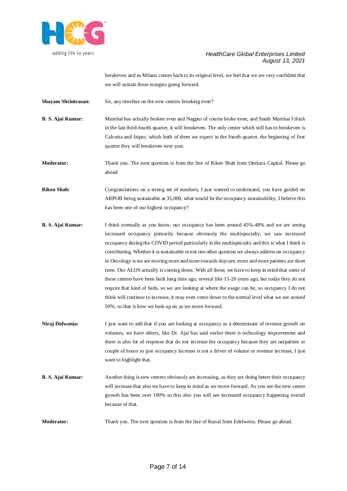

breakeven and as Milann comes back to its original level, we feel that we are very confident that we will sustain these margins going forward.

**Shayam Shrinivasan:** Sir, any timeline on the new centers breaking even?

**B. S. Ajai Kumar:** Mumbai has actually broken even and Nagpur of course broke even, and South Mumbai I think in the last third-fourth quarter, it will breakeven. The only center which still has to breakeven is Calcutta and Jaipur, which both of them we expect in the fourth quarter, the beginning of first quarter they will breakeven next year.

**Moderator:** Thank you. The next question is from the line of Riken Shah from Omkara Capital. Please go ahead.

**Riken Shah:** Congratulations on a strong set of numbers, I just wanted to understand, you have guided on ARPOB being sustainable at 35,000, what would be the occupancy sustainability, I believe this has been one of our highest occupancy?

- **B. S. Ajai Kumar:** I think normally as you know, our occupancy has been around 45%-48% and we are seeing increased occupancy primarily because obviously the multispecialty, we saw increased occupancy during the COVID period particularly in the multispecialty and this is what I think is contributing. Whether it is sustainable or not one other question we always address on occupancy in Oncology is we are moving more and more towards daycare, more and more patients are short term. Our ALOS actually is coming down. With all these, we have to keep in mind that some of these centers have been built long time ago, several like 15-20 years ago, but today they do not require that kind of beds, so we are looking at where the usage can be, so occupancy I do not think will continue to increase, it may even come down to the normal level what we see around 50%, so that is how we look up on as we move forward.
- **Niraj Didwania:** I just want to add that if you are looking at occupancy as a determinant of revenue growth on volumes, we have others, like Dr. Ajai has said earlier there is technology improvement and there is also lot of response that do not increase the occupancy because they are outpatient or couple of hours so just occupancy increase is not a driver of volume or revenue increase, I just want to highlight that.
- **B. S. Ajai Kumar:** Another thing is new centers obviously are increasing, as they are doing better their occupancy will increase that also we have to keep in mind as we move forward. As you see the new center growth has been over 100% so this also you will see increased occupancy happening overall because of that.

**Moderator:** Thank you. The next question is from the line of Kunal from Edelweiss. Please go ahead.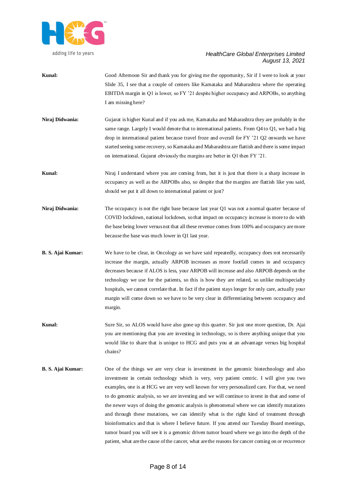

- **Kunal:** Good Afternoon Sir and thank you for giving me the opportunity, Sir if I were to look at your Slide 35, I see that a couple of centers like Karnataka and Maharashtra where the operating EBITDA margin in Q1 is lower, so FY '21 despite higher occupancy and ARPOBs, so anything I am missing here?
- **Niraj Didwania:** Gujarat is higher Kunal and if you ask me, Karnataka and Maharashtra they are probably in the same range. Largely I would denote that to international patients. From Q4 to Q1, we had a big drop in international patient because travel froze and overall for FY '21 Q2 onwards we have started seeing some recovery, so Karnataka and Maharashtra are flattish and there is some impact on international. Gujarat obviously the margins are better in Q1 then FY '21.
- **Kunal:** Niraj I understand where you are coming from, but it is just that there is a sharp increase in occupancy as well as the ARPOBs also, so despite that the margins are flattish like you said, should we put it all down to international patient or just?
- **Niraj Didwania:** The occupancy is not the right base because last year Q1 was not a normal quarter because of COVID lockdown, national lockdown, so that impact on occupancy increase is more to do with the base being lower versus not that all these revenue comes from 100% and occupancy are more because the base was much lower in Q1 last year.
- **B. S. Ajai Kumar:** We have to be clear, in Oncology as we have said repeatedly, occupancy does not necessarily increase the margin, actually ARPOB increases as more footfall comes in and occupancy decreases because if ALOS is less, your ARPOB will increase and also ARPOB depends on the technology we use for the patients, so this is how they are related, so unlike multispecialty hospitals, we cannot correlate that. In fact if the patient stays longer for only care, actually your margin will come down so we have to be very clear in differentiating between occupancy and margin.
- **Kunal:** Sure Sir, so ALOS would have also gone up this quarter. Sir just one more question, Dr. Ajai you are mentioning that you are investing in technology, so is there anything unique that you would like to share that is unique to HCG and puts you at an advantage versus big hospital chains?
- **B. S. Ajai Kumar:** One of the things we are very clear is investment in the genomic biotechnology and also investment in certain technology which is very, very patient centric. I will give you two examples, one is at HCG we are very well known for very personalized care. For that, we need to do genomic analysis, so we are investing and we will continue to invest in that and some of the newer ways of doing the genomic analysis is phenomenal where we can identify mutations and through these mutations, we can identify what is the right kind of treatment through bioinformatics and that is where I believe future. If you attend our Tuesday Board meetings, tumor board you will see it is a genomic driven tumor board where we go into the depth of the patient, what are the cause of the cancer, what are the reasons for cancer coming on or recurrence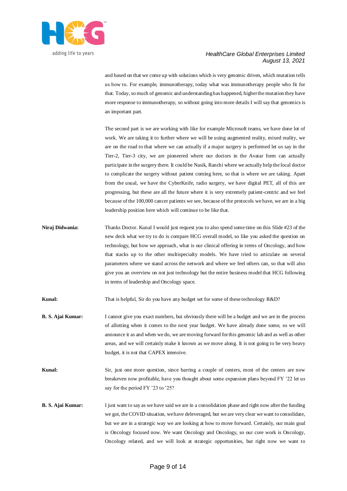

and based on that we come up with solutions which is very genomic driven, which mutation tells us how to. For example, immunotherapy, today what was immunotherapy people who fit for that. Today, so much of genomic and understanding has happened, higher the mutation they have more response to immunotherapy, so without going into more details I will say that genomics is an important part.

The second part is we are working with like for example Microsoft teams, we have done lot of work. We are taking it to further where we will be using augmented reality, mixed reality, we are on the road to that where we can actually if a major surgery is performed let us say in the Tier-2, Tier-3 city, we are pioneered where our doctors in the Avatar form can actually participate in the surgery there. It could be Nasik, Ranchi where we actually help the local doctor to complicate the surgery without patient coming here, so that is where we are taking. Apart from the usual, we have the CyberKnife, radio surgery, we have digital PET, all of this are progressing, but these are all the future where it is very extremely patient-centric and we feel because of the 100,000 cancer patients we see, because of the protocols we have, we are in a big leadership position here which will continue to be like that.

**Niraj Didwania:** Thanks Doctor. Kunal I would just request you to also spend some time on this Slide #23 of the new deck what we try to do is compare HCG overall model, so like you asked the question on technology, but how we approach, what is our clinical offering in terms of Oncology, and how that stacks up to the other multispecialty models. We have tried to articulate on several parameters where we stand across the network and where we feel others can, so that will also give you an overview on not just technology but the entire business model that HCG following in terms of leadership and Oncology space.

**Kunal:** That is helpful, Sir do you have any budget set for some of these technology R&D?

- **B. S. Ajai Kumar:** I cannot give you exact numbers, but obviously there will be a budget and we are in the process of allotting when it comes to the next year budget. We have already done some, so we will announce it as and when we do, we are moving forward for this genomic lab and as well as other areas, and we will certainly make it known as we move along. It is not going to be very heavy budget, it is not that CAPEX intensive.
- **Kunal:** Sir, just one more question, since barring a couple of centers, most of the centers are now breakeven now profitable, have you thought about some expansion plans beyond FY '22 let us say for the period FY '23 to '25?
- **B. S. Ajai Kumar:** I just want to say as we have said we are in a consolidation phase and right now after the funding we got, the COVID situation, we have deleveraged, but we are very clear we want to consolidate, but we are in a strategic way we are looking at how to move forward. Certainly, our main goal is Oncology focused now. We want Oncology and Oncology, so our core work is Oncology, Oncology related, and we will look at strategic opportunities, but right now we want to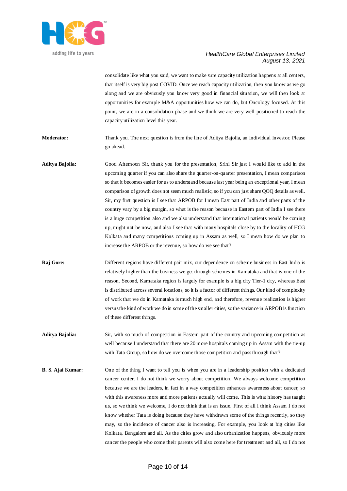

consolidate like what you said, we want to make sure capacity utilization happens at all centers, that itself is very big post COVID. Once we reach capacity utilization, then you know as we go along and we are obviously you know very good in financial situation, we will then look at opportunities for example M&A opportunities how we can do, but Oncology focused. At this point, we are in a consolidation phase and we think we are very well positioned to reach the capacity utilization level this year.

- **Moderator:** Thank you. The next question is from the line of Aditya Bajolia, an Individual Investor. Please go ahead.
- **Aditya Bajolia:** Good Afternoon Sir, thank you for the presentation, Srini Sir just I would like to add in the upcoming quarter if you can also share the quarter-on-quarter presentation, I mean comparison so that it becomes easier for us to understand because last year being an exceptional year, I mean comparison of growth does not seem much realistic, so if you can just share QOQ details as well. Sir, my first question is I see that ARPOB for I mean East part of India and other parts of the country vary by a big margin, so what is the reason because in Eastern part of India I see there is a huge competition also and we also understand that international patients would be coming up, might not be now, and also I see that with many hospitals close by to the locality of HCG Kolkata and many competitions coming up in Assam as well, so I mean how do we plan to increase the ARPOB or the revenue, so how do we see that?
- **Raj Gore:** Different regions have different pair mix, our dependence on scheme business in East India is relatively higher than the business we get through schemes in Karnataka and that is one of the reason. Second, Karnataka region is largely for example is a big city Tier-1 city, whereas East is distributed across several locations, so it is a factor of different things. Our kind of complexity of work that we do in Karnataka is much high end, and therefore, revenue realization is higher versus the kind of work we do in some of the smaller cities, so the variance in ARPOB is function of these different things.
- **Aditya Bajolia:** Sir, with so much of competition in Eastern part of the country and upcoming competition as well because I understand that there are 20 more hospitals coming up in Assam with the tie-up with Tata Group, so how do we overcome those competition and pass through that?
- **B. S. Ajai Kumar:** One of the thing I want to tell you is when you are in a leadership position with a dedicated cancer center, I do not think we worry about competition. We always welcome competition because we are the leaders, in fact in a way competition enhances awareness about cancer, so with this awareness more and more patients actually will come. This is what history has taught us, so we think we welcome, I do not think that is an issue. First of all I think Assam I do not know whether Tata is doing because they have withdrawn some of the things recently, so they may, so the incidence of cancer also is increasing. For example, you look at big cities like Kolkata, Bangalore and all. As the cities grow and also urbanization happens, obviously more cancer the people who come their parents will also come here for treatment and all, so I do not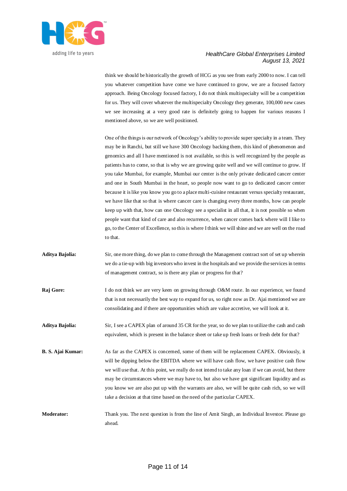

think we should be historically the growth of HCG as you see from early 2000 to now. I can tell you whatever competition have come we have continued to grow, we are a focused factory approach. Being Oncology focused factory, I do not think multispecialty will be a competition for us. They will cover whatever the multispecialty Oncology they generate, 100,000 new cases we see increasing at a very good rate is definitely going to happen for various reasons I mentioned above, so we are well positioned.

One of the things is our network of Oncology's ability to provide super specialty in a team. They may be in Ranchi, but still we have 300 Oncology backing them, this kind of phenomenon and genomics and all I have mentioned is not available, so this is well recognized by the people as patients has to come, so that is why we are growing quite well and we will continue to grow. If you take Mumbai, for example, Mumbai our center is the only private dedicated cancer center and one in South Mumbai in the heart, so people now want to go to dedicated cancer center because it is like you know you go to a place multi-cuisine restaurant versus specialty restaurant, we have like that so that is where cancer care is changing every three months, how can people keep up with that, how can one Oncology see a specialist in all that, it is not possible so when people want that kind of care and also recurrence, when cancer comes back where will I like to go, to the Center of Excellence, so this is where I think we will shine and we are well on the road to that.

- **Aditya Bajolia:** Sir, one more thing, do we plan to come through the Management contract sort of set up wherein we do a tie-up with big investors who invest in the hospitals and we provide the services in terms of management contract, so is there any plan or progress for that?
- **Raj Gore:** I do not think we are very keen on growing through O&M route. In our experience, we found that is not necessarily the best way to expand for us, so right now as Dr. Ajai mentioned we are consolidating and if there are opportunities which are value accretive, we will look at it.
- **Aditya Bajolia:** Sir, I see a CAPEX plan of around 35 CR for the year, so do we plan to utilize the cash and cash equivalent, which is present in the balance sheet or take up fresh loans or fresh debt for that?
- **B. S. Ajai Kumar:** As far as the CAPEX is concerned, some of them will be replacement CAPEX. Obviously, it will be dipping below the EBITDA where we will have cash flow, we have positive cash flow we will use that. At this point, we really do not intend to take any loan if we can avoid, but there may be circumstances where we may have to, but also we have got significant liquidity and as you know we are also put up with the warrants are also, we will be quite cash rich, so we will take a decision at that time based on the need of the particular CAPEX.
- **Moderator:** Thank you. The next question is from the line of Amit Singh, an Individual Investor. Please go ahead.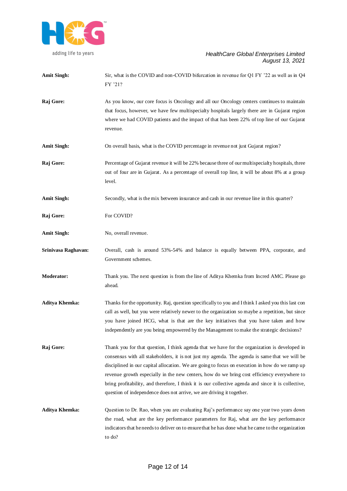

| <b>Amit Singh:</b>    | Sir, what is the COVID and non-COVID bifurcation in revenue for Q1 FY $'22$ as well as in Q4<br>FY '21?                                                                                                                                                                                                                                                                                                                                                                                                                                                                         |
|-----------------------|---------------------------------------------------------------------------------------------------------------------------------------------------------------------------------------------------------------------------------------------------------------------------------------------------------------------------------------------------------------------------------------------------------------------------------------------------------------------------------------------------------------------------------------------------------------------------------|
| Raj Gore:             | As you know, our core focus is Oncology and all our Oncology centers continues to maintain<br>that focus, however, we have few multispecialty hospitals largely there are in Gujarat region<br>where we had COVID patients and the impact of that has been 22% of top line of our Gujarat<br>revenue.                                                                                                                                                                                                                                                                           |
| <b>Amit Singh:</b>    | On overall basis, what is the COVID percentage in revenue not just Gujarat region?                                                                                                                                                                                                                                                                                                                                                                                                                                                                                              |
| Raj Gore:             | Percentage of Gujarat revenue it will be 22% because three of our multispecialty hospitals, three<br>out of four are in Gujarat. As a percentage of overall top line, it will be about 8% at a group<br>level.                                                                                                                                                                                                                                                                                                                                                                  |
| <b>Amit Singh:</b>    | Secondly, what is the mix between insurance and cash in our revenue line in this quarter?                                                                                                                                                                                                                                                                                                                                                                                                                                                                                       |
| Raj Gore:             | For COVID?                                                                                                                                                                                                                                                                                                                                                                                                                                                                                                                                                                      |
| <b>Amit Singh:</b>    | No, overall revenue.                                                                                                                                                                                                                                                                                                                                                                                                                                                                                                                                                            |
| Srinivasa Raghavan:   | Overall, cash is around 53%-54% and balance is equally between PPA, corporate, and<br>Government schemes.                                                                                                                                                                                                                                                                                                                                                                                                                                                                       |
| <b>Moderator:</b>     | Thank you. The next question is from the line of Aditya Khemka from Incred AMC. Please go<br>ahead.                                                                                                                                                                                                                                                                                                                                                                                                                                                                             |
| <b>Aditya Khemka:</b> | Thanks for the opportunity. Raj, question specifically to you and I think I asked you this last con<br>call as well, but you were relatively newer to the organization so maybe a repetition, but since<br>you have joined HCG, what is that are the key initiatives that you have taken and how<br>independently are you being empowered by the Management to make the strategic decisions?                                                                                                                                                                                    |
| Raj Gore:             | Thank you for that question, I think agenda that we have for the organization is developed in<br>consensus with all stakeholders, it is not just my agenda. The agenda is same that we will be<br>disciplined in our capital allocation. We are going to focus on execution in how do we ramp up<br>revenue growth especially in the new centers, how do we bring cost efficiency everywhere to<br>bring profitability, and therefore, I think it is our collective agenda and since it is collective,<br>question of independence does not arrive, we are driving it together. |
| <b>Aditya Khemka:</b> | Question to Dr. Rao, when you are evaluating Raj's performance say one year two years down<br>the road, what are the key performance parameters for Raj, what are the key performance<br>indicators that he needs to deliver on to ensure that he has done what he came to the organization<br>to do?                                                                                                                                                                                                                                                                           |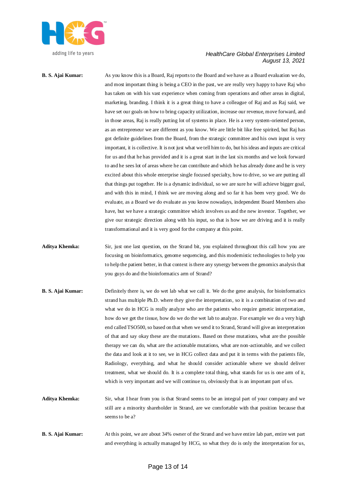

**B. S. Ajai Kumar:** As you know this is a Board, Raj reports to the Board and we have as a Board evaluation we do, and most important thing is being a CEO in the past, we are really very happy to have Raj who has taken on with his vast experience when coming from operations and other areas in digital, marketing, branding. I think it is a great thing to have a colleague of Raj and as Raj said, we have set our goals on how to bring capacity utilization, increase our revenue, move forward, and in those areas, Raj is really putting lot of systems in place. He is a very system-oriented person, as an entrepreneur we are different as you know. We are little bit like free spirited, but Raj has got definite guidelines from the Board, from the strategic committee and his own input is very important, it is collective. It is not just what we tell him to do, but his ideas and inputs are critical for us and that he has provided and it is a great start in the last six months and we look forward to and he sees lot of areas where he can contribute and which he has already done and he is very excited about this whole enterprise single focused specialty, how to drive, so we are putting all that things put together. He is a dynamic individual, so we are sure he will achieve bigger goal, and with this in mind, I think we are moving along and so far it has been very good. We do evaluate, as a Board we do evaluate as you know nowadays, independent Board Members also have, but we have a strategic committee which involves us and the new investor. Together, we give our strategic direction along with his input, so that is how we are driving and it is really transformational and it is very good for the company at this point.

- **Aditya Khemka:** Sir, just one last question, on the Strand bit, you explained throughout this call how you are focusing on bioinformatics, genome sequencing, and this modernistic technologies to help you to help the patient better, in that context is there any synergy between the genomics analysis that you guys do and the bioinformatics arm of Strand?
- **B. S. Ajai Kumar:** Definitely there is, we do wet lab what we call it. We do the gene analysis, for bioinformatics strand has multiple Ph.D. where they give the interpretation, so it is a combination of two and what we do in HCG is really analyze who are the patients who require genetic interpretation, how do we get the tissue, how do we do the wet lab to analyze. For example we do a very high end called TSO500, so based on that when we send it to Strand, Strand will give an interpretation of that and say okay these are the mutations. Based on these mutations, what are the possible therapy we can do, what are the actionable mutations, what are non-actionable, and we collect the data and look at it to see, we in HCG collect data and put it in terms with the patients file, Radiology, everything, and what he should consider actionable where we should deliver treatment, what we should do. It is a complete total thing, what stands for us is one arm of it, which is very important and we will continue to, obviously that is an important part of us.
- **Aditya Khemka:** Sir, what I hear from you is that Strand seems to be an integral part of your company and we still are a minority shareholder in Strand, are we comfortable with that position because that seems to be a?
- **B. S. Ajai Kumar:** At this point, we are about 34% owner of the Strand and we have entire lab part, entire wet part and everything is actually managed by HCG, so what they do is only the interpretation for us,